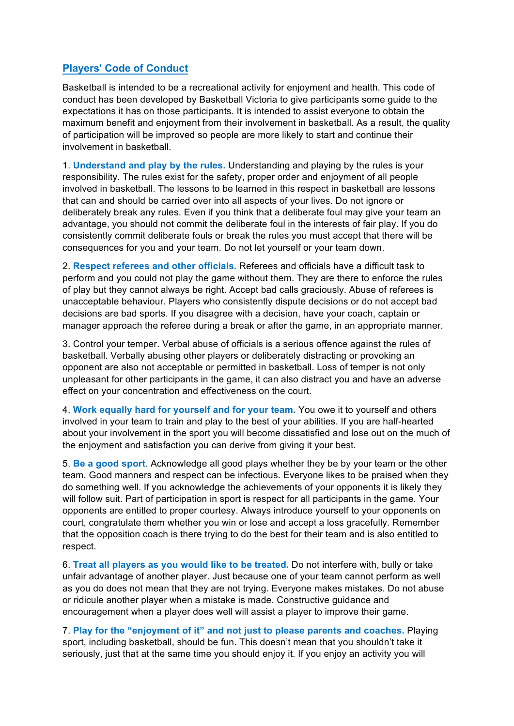## **Players' Code of Conduct**

Basketball is intended to be a recreational activity for enjoyment and health. This code of conduct has been developed by Basketball Victoria to give participants some guide to the expectations it has on those participants. It is intended to assist everyone to obtain the maximum benefit and enjoyment from their involvement in basketball. As a result, the quality of participation will be improved so people are more likely to start and continue their involvement in basketball.

1. **Understand and play by the rules.** Understanding and playing by the rules is your responsibility. The rules exist for the safety, proper order and enjoyment of all people involved in basketball. The lessons to be learned in this respect in basketball are lessons that can and should be carried over into all aspects of your lives. Do not ignore or deliberately break any rules. Even if you think that a deliberate foul may give your team an advantage, you should not commit the deliberate foul in the interests of fair play. If you do consistently commit deliberate fouls or break the rules you must accept that there will be consequences for you and your team. Do not let yourself or your team down.

2. **Respect referees and other officials.** Referees and officials have a difficult task to perform and you could not play the game without them. They are there to enforce the rules of play but they cannot always be right. Accept bad calls graciously. Abuse of referees is unacceptable behaviour. Players who consistently dispute decisions or do not accept bad decisions are bad sports. If you disagree with a decision, have your coach, captain or manager approach the referee during a break or after the game, in an appropriate manner.

3. Control your temper. Verbal abuse of officials is a serious offence against the rules of basketball. Verbally abusing other players or deliberately distracting or provoking an opponent are also not acceptable or permitted in basketball. Loss of temper is not only unpleasant for other participants in the game, it can also distract you and have an adverse effect on your concentration and effectiveness on the court.

4. **Work equally hard for yourself and for your team.** You owe it to yourself and others involved in your team to train and play to the best of your abilities. If you are half-hearted about your involvement in the sport you will become dissatisfied and lose out on the much of the enjoyment and satisfaction you can derive from giving it your best.

5. **Be a good sport**. Acknowledge all good plays whether they be by your team or the other team. Good manners and respect can be infectious. Everyone likes to be praised when they do something well. If you acknowledge the achievements of your opponents it is likely they will follow suit. Part of participation in sport is respect for all participants in the game. Your opponents are entitled to proper courtesy. Always introduce yourself to your opponents on court, congratulate them whether you win or lose and accept a loss gracefully. Remember that the opposition coach is there trying to do the best for their team and is also entitled to respect.

6. **Treat all players as you would like to be treated.** Do not interfere with, bully or take unfair advantage of another player. Just because one of your team cannot perform as well as you do does not mean that they are not trying. Everyone makes mistakes. Do not abuse or ridicule another player when a mistake is made. Constructive guidance and encouragement when a player does well will assist a player to improve their game.

7. **Play for the "enjoyment of it" and not just to please parents and coaches.** Playing sport, including basketball, should be fun. This doesn't mean that you shouldn't take it seriously, just that at the same time you should enjoy it. If you enjoy an activity you will